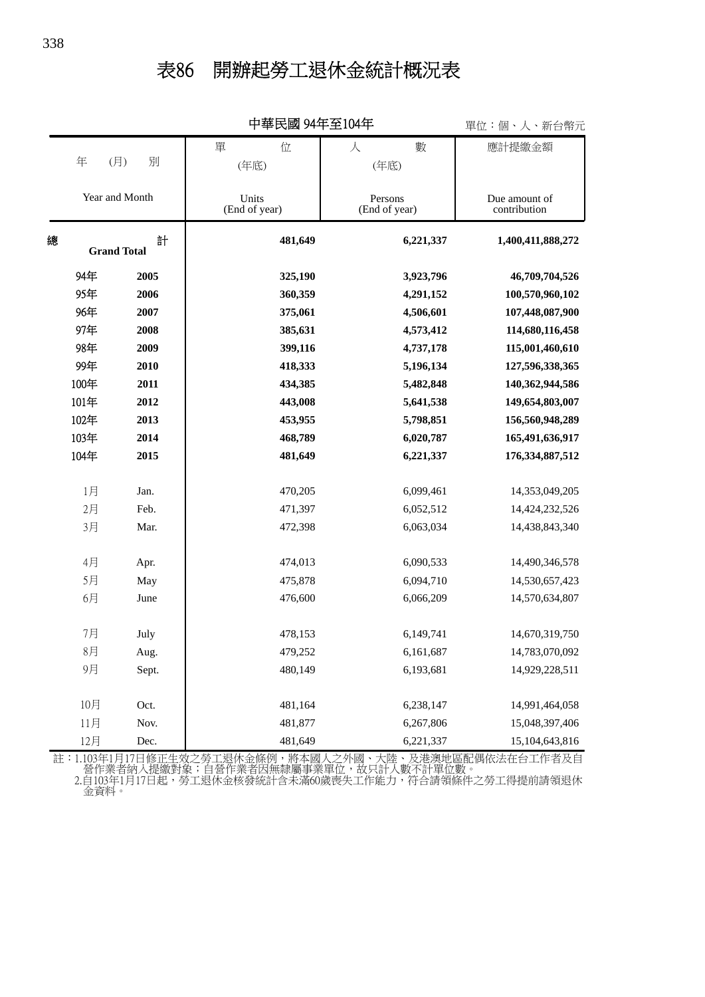## 表86 開辦起勞工退休金統計概況表

|                |                    | 中華民國 94年全104年 |                        |         |                          | 單位:個、人、新台幣元 |                               |
|----------------|--------------------|---------------|------------------------|---------|--------------------------|-------------|-------------------------------|
|                |                    |               | 單<br>位                 |         | 人                        | 數           | 應計提繳金額                        |
|                | 年<br>(月)           | 別             | (年底)                   |         |                          | (年底)        |                               |
|                |                    |               |                        |         |                          |             |                               |
| Year and Month |                    |               | Units<br>(End of year) |         | Persons<br>(End of year) |             | Due amount of<br>contribution |
| 總              | <b>Grand Total</b> | 計             |                        | 481,649 |                          | 6,221,337   | 1,400,411,888,272             |
|                | 94年                | 2005          |                        | 325,190 |                          | 3,923,796   | 46,709,704,526                |
|                | 95年                | 2006          |                        | 360,359 |                          | 4,291,152   | 100,570,960,102               |
|                | 96年                | 2007          |                        | 375,061 |                          | 4,506,601   | 107,448,087,900               |
|                | 97年                | 2008          |                        | 385,631 |                          | 4,573,412   | 114,680,116,458               |
|                | 98年                | 2009          |                        | 399,116 |                          | 4,737,178   | 115,001,460,610               |
|                | 99年                | 2010          |                        | 418,333 |                          | 5,196,134   | 127,596,338,365               |
|                | 100年               | 2011          |                        | 434,385 |                          | 5,482,848   | 140,362,944,586               |
|                | 101年               | 2012          |                        | 443,008 |                          | 5,641,538   | 149,654,803,007               |
|                | 102年               | 2013          |                        | 453,955 |                          | 5,798,851   | 156,560,948,289               |
|                | 103年               | 2014          |                        | 468,789 |                          | 6,020,787   | 165,491,636,917               |
|                | 104年               | 2015          |                        | 481,649 |                          | 6,221,337   | 176, 334, 887, 512            |
|                | 1月                 | Jan.          |                        | 470,205 |                          | 6,099,461   | 14,353,049,205                |
|                | 2月                 | Feb.          |                        | 471,397 |                          | 6,052,512   | 14,424,232,526                |
|                | 3月                 | Mar.          |                        | 472,398 |                          | 6,063,034   | 14,438,843,340                |
|                | 4月                 | Apr.          |                        | 474,013 |                          | 6,090,533   | 14,490,346,578                |
|                | 5月                 | May           |                        | 475,878 |                          | 6,094,710   | 14,530,657,423                |
|                | 6月                 | June          |                        | 476,600 |                          | 6,066,209   | 14,570,634,807                |
|                | 7月                 | July          |                        | 478,153 |                          | 6,149,741   | 14,670,319,750                |
|                | $8$ 月              | Aug.          |                        | 479,252 |                          | 6,161,687   | 14,783,070,092                |
|                | 9月                 | Sept.         |                        | 480,149 |                          | 6,193,681   | 14,929,228,511                |
|                | 10月                | Oct.          |                        | 481,164 |                          | 6,238,147   | 14,991,464,058                |
|                | 11月                | Nov.          |                        | 481,877 |                          | 6,267,806   | 15,048,397,406                |
|                |                    |               |                        |         |                          |             |                               |
|                | 12月                | Dec.          |                        | 481,649 |                          | 6,221,337   | 15,104,643,816                |

中華民國 94年至104年

 金資料。 2.自103年1月17日起,勞工退休金核發統計含未滿60歲喪失工作能力,符合請領條件之勞工得提前請領退休 營作業者納入提繳對象;自營作業者因無隸屬事業單位,故只計人數不計單位數。 註:1.103年1月17日修正生效之勞工退休金條例,將本國人之外國、大陸、及港澳地區配偶依法在台工作者及自